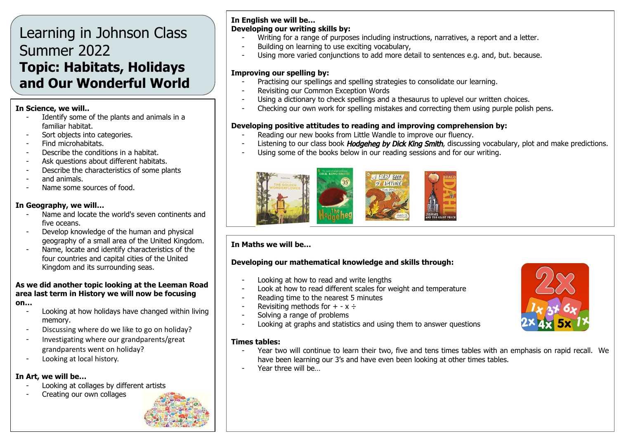# Learning in Johnson Class Summer 2022 **Topic: Habitats, Holidays and Our Wonderful World**

#### **In Science, we will..**

- Identify some of the plants and animals in a familiar habitat.
- Sort objects into categories.
- Find microhabitats.
- Describe the conditions in a habitat.
- Ask questions about different habitats.
- Describe the characteristics of some plants
- and animals.
- Name some sources of food.

#### **In Geography, we will…**

- Name and locate the world's seven continents and five oceans.
- Develop knowledge of the human and physical geography of a small area of the United Kingdom.
- Name, locate and identify characteristics of the four countries and capital cities of the United Kingdom and its surrounding seas.

#### **As we did another topic looking at the Leeman Road area last term in History we will now be focusing on…**

- Looking at how holidays have changed within living memory.
- Discussing where do we like to go on holiday?
- Investigating where our grandparents/great grandparents went on holiday?
- Looking at local history.

#### **In Art, we will be…**

- Looking at collages by different artists
- Creating our own collages



#### **In English we will be… Developing our writing skills by:**

- Writing for a range of purposes including instructions, narratives, a report and a letter.
- Building on learning to use exciting vocabulary,
- Using more varied conjunctions to add more detail to sentences e.g. and, but. because.

#### **Improving our spelling by:**

- Practising our spellings and spelling strategies to consolidate our learning.
- Revisiting our Common Exception Words
- Using a dictionary to check spellings and a thesaurus to uplevel our written choices.
- Checking our own work for spelling mistakes and correcting them using purple polish pens.

#### **Developing positive attitudes to reading and improving comprehension by:**

- Reading our new books from Little Wandle to improve our fluency.
- Listening to our class book *Hodgeheg by Dick King Smith*, discussing vocabulary, plot and make predictions.
- Using some of the books below in our reading sessions and for our writing.



### **In Maths we will be…**

#### **Developing our mathematical knowledge and skills through:**

- Looking at how to read and write lengths
- Look at how to read different scales for weight and temperature
- Reading time to the nearest 5 minutes
- Revisiting methods for  $+ x \div$
- Solving a range of problems
- Looking at graphs and statistics and using them to answer questions

- **Times tables:**
	- Year two will continue to learn their two, five and tens times tables with an emphasis on rapid recall. We have been learning our 3's and have even been looking at other times tables.
	- Year three will be…